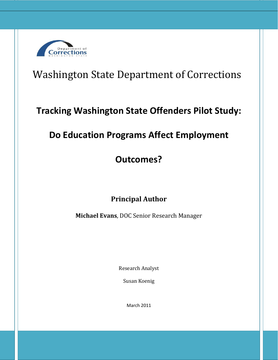

# Washington State Department of Corrections

# **Tracking Washington State Offenders Pilot Study:**

# **Do Education Programs Affect Employment**

# **Outcomes?**

## **Principal Author**

**Michael Evans**, DOC Senior Research Manager

Research Analyst

Susan Koenig

March 2011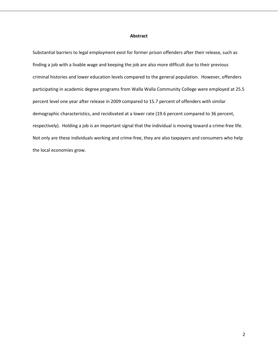#### **Abstract**

Substantial barriers to legal employment exist for former prison offenders after their release, such as finding a job with a livable wage and keeping the job are also more difficult due to their previous criminal histories and lower education levels compared to the general population. However, offenders participating in academic degree programs from Walla Walla Community College were employed at 25.5 percent level one year after release in 2009 compared to 15.7 percent of offenders with similar demographic characteristics, and recidivated at a lower rate (19.6 percent compared to 36 percent, respectively). Holding a job is an important signal that the individual is moving toward a crime-free life. Not only are these individuals working and crime-free, they are also taxpayers and consumers who help the local economies grow.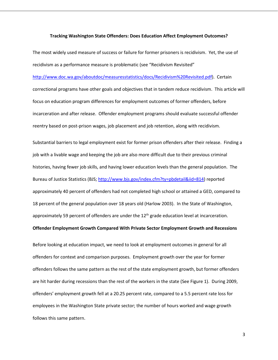#### **Tracking Washington State Offenders: Does Education Affect Employment Outcomes?**

The most widely used measure of success or failure for former prisoners is recidivism. Yet, the use of recidivism as a performance measure is problematic (see "Recidivism Revisited"

[http://www.doc.wa.gov/aboutdoc/measuresstatistics/docs/Recidivism%20Revisited.pdf\)](http://www.doc.wa.gov/aboutdoc/measuresstatistics/docs/Recidivism%20Revisited.pdf). Certain correctional programs have other goals and objectives that in tandem reduce recidivism. This article will focus on education program differences for employment outcomes of former offenders, before incarceration and after release. Offender employment programs should evaluate successful offender reentry based on post-prison wages, job placement and job retention, along with recidivism.

Substantial barriers to legal employment exist for former prison offenders after their release. Finding a job with a livable wage and keeping the job are also more difficult due to their previous criminal histories, having fewer job skills, and having lower education levels than the general population. The Bureau of Justice Statistics (BJS; [http://www.bjs.gov/index.cfm?ty=pbdetail&iid=814\)](http://www.bjs.gov/index.cfm?ty=pbdetail&iid=814) reported approximately 40 percent of offenders had not completed high school or attained a GED, compared to 18 percent of the general population over 18 years old (Harlow 2003). In the State of Washington, approximately 59 percent of offenders are under the  $12<sup>th</sup>$  grade education level at incarceration.

### **Offender Employment Growth Compared With Private Sector Employment Growth and Recessions**

Before looking at education impact, we need to look at employment outcomes in general for all offenders for context and comparison purposes. Employment growth over the year for former offenders follows the same pattern as the rest of the state employment growth, but former offenders are hit harder during recessions than the rest of the workers in the state (See Figure 1). During 2009, offenders' employment growth fell at a 20.25 percent rate, compared to a 5.5 percent rate loss for employees in the Washington State private sector; the number of hours worked and wage growth follows this same pattern.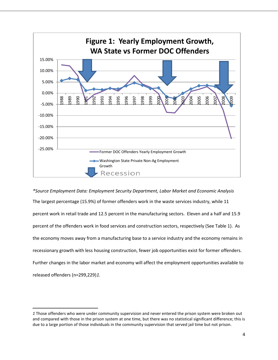

*\*Source Employment Data: Employment Security Department, Labor Market and Economic Analysis*  The largest percentage (15.9%) of former offenders work in the waste services industry, while 11 percent work in retail trade and 12.5 percent in the manufacturing sectors. Eleven and a half and 15.9 percent of the offenders work in food services and construction sectors, respectively (See Table 1). As the economy moves away from a manufacturing base to a service industry and the economy remains in recessionary growth with less housing construction, fewer job opportunities exist for former offenders. Further changes in the labor market and economy will affect the employment opportunities available to released offenders (n=299,229)*[1](#page-3-0).*

l

<span id="page-3-0"></span>*<sup>1</sup>* Those offenders who were under community supervision and never entered the prison system were broken out and compared with those in the prison system at one time, but there was no statistical significant difference; this is due to a large portion of those individuals in the community supervision that served jail time but not prison.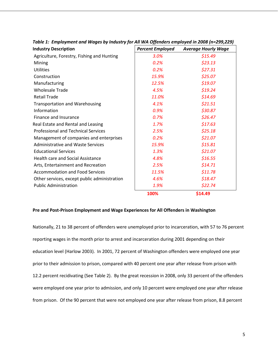| <b>Industry Description</b>                  | <b>Percent Employed</b> | <b>Average Hourly Wage</b> |
|----------------------------------------------|-------------------------|----------------------------|
| Agriculture, Forestry, Fishing and Hunting   | 3.0%                    | \$15.49                    |
| Mining                                       | 0.2%                    | \$23.13                    |
| <b>Utilities</b>                             | 0.2%                    | \$27.31                    |
| Construction                                 | 15.9%                   | \$25.07                    |
| Manufacturing                                | 12.5%                   | \$19.07                    |
| <b>Wholesale Trade</b>                       | 4.5%                    | \$19.24                    |
| <b>Retail Trade</b>                          | 11.0%                   | \$14.69                    |
| <b>Transportation and Warehousing</b>        | 4.1%                    | \$21.51                    |
| Information                                  | 0.9%                    | \$30.87                    |
| Finance and Insurance                        | 0.7%                    | \$26.47                    |
| Real Estate and Rental and Leasing           | 1.7%                    | \$17.63                    |
| <b>Professional and Technical Services</b>   | 2.5%                    | \$25.18                    |
| Management of companies and enterprises      | 0.2%                    | \$21.07                    |
| <b>Administrative and Waste Services</b>     | 15.9%                   | \$15.81                    |
| <b>Educational Services</b>                  | 1.3%                    | \$21.07                    |
| Health care and Social Assistance            | 4.8%                    | \$16.55                    |
| Arts, Entertainment and Recreation           | 2.5%                    | \$14.71                    |
| <b>Accommodation and Food Services</b>       | 11.5%                   | \$11.78                    |
| Other services, except public administration | 4.6%                    | \$18.47                    |
| <b>Public Administration</b>                 | 1.9%                    | \$22.74                    |
|                                              | 100%                    | \$14.49                    |

*Table 1: Employment and Wages by Industry for All WA Offenders employed in 2008 (n=299,229)*

### **Pre and Post-Prison Employment and Wage Experiences for All Offenders in Washington**

Nationally, 21 to 38 percent of offenders were unemployed prior to incarceration, with 57 to 76 percent reporting wages in the month prior to arrest and incarceration during 2001 depending on their education level (Harlow 2003). In 2001, 72 percent of Washington offenders were employed one year prior to their admission to prison, compared with 40 percent one year after release from prison with 12.2 percent recidivating (See Table 2). By the great recession in 2008, only 33 percent of the offenders were employed one year prior to admission, and only 10 percent were employed one year after release from prison. Of the 90 percent that were not employed one year after release from prison, 8.8 percent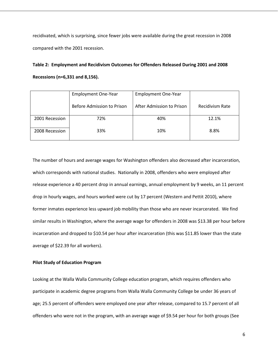recidivated, which is surprising, since fewer jobs were available during the great recession in 2008 compared with the 2001 recession.

## **Table 2: Employment and Recidivism Outcomes for Offenders Released During 2001 and 2008 Recessions (n=6,331 and 8,156).**

|                | <b>Employment One-Year</b> | <b>Employment One-Year</b> |                        |
|----------------|----------------------------|----------------------------|------------------------|
|                | Before Admission to Prison | After Admission to Prison  | <b>Recidivism Rate</b> |
| 2001 Recession | 72%                        | 40%                        | 12.1%                  |
| 2008 Recession | 33%                        | 10%                        | 8.8%                   |

The number of hours and average wages for Washington offenders also decreased after incarceration, which corresponds with national studies. Nationally in 2008, offenders who were employed after release experience a 40 percent drop in annual earnings, annual employment by 9 weeks, an 11 percent drop in hourly wages, and hours worked were cut by 17 percent (Western and Pettit 2010), where former inmates experience less upward job mobility than those who are never incarcerated. We find similar results in Washington, where the average wage for offenders in 2008 was \$13.38 per hour before incarceration and dropped to \$10.54 per hour after incarceration (this was \$11.85 lower than the state average of \$22.39 for all workers).

### **Pilot Study of Education Program**

Looking at the Walla Walla Community College education program, which requires offenders who participate in academic degree programs from Walla Walla Community College be under 36 years of age; 25.5 percent of offenders were employed one year after release, compared to 15.7 percent of all offenders who were not in the program, with an average wage of \$9.54 per hour for both groups (See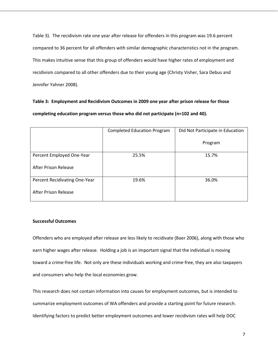Table 3). The recidivism rate one year after release for offenders in this program was 19.6 percent compared to 36 percent for all offenders with similar demographic characteristics not in the program. This makes intuitive sense that this group of offenders would have higher rates of employment and recidivism compared to all other offenders due to their young age (Christy Visher, Sara Debus and Jennifer Yahner 2008).

## **Table 3: Employment and Recidivism Outcomes in 2009 one year after prison release for those completing education program versus those who did not participate (n=102 and 40).**

|                               | <b>Completed Education Program</b> | Did Not Participate in Education |
|-------------------------------|------------------------------------|----------------------------------|
|                               |                                    | Program                          |
| Percent Employed One-Year     | 25.5%                              | 15.7%                            |
| <b>After Prison Release</b>   |                                    |                                  |
| Percent Recidivating One-Year | 19.6%                              | 36.0%                            |
| After Prison Release          |                                    |                                  |

### **Successful Outcomes**

Offenders who are employed after release are less likely to recidivate (Baer 2006), along with those who earn higher wages after release. Holding a job is an important signal that the individual is moving toward a crime-free life. Not only are these individuals working and crime-free, they are also taxpayers and consumers who help the local economies grow.

This research does not contain information into causes for employment outcomes, but is intended to summarize employment outcomes of WA offenders and provide a starting point for future research. Identifying factors to predict better employment outcomes and lower recidivism rates will help DOC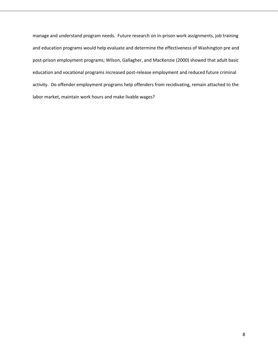manage and understand program needs. Future research on in-prison work assignments, job training and education programs would help evaluate and determine the effectiveness of Washington pre and post-prison employment programs; Wilson, Gallagher, and MacKenzie (2000) showed that adult basic education and vocational programs increased post-release employment and reduced future criminal activity. Do offender employment programs help offenders from recidivating, remain attached to the labor market, maintain work hours and make livable wages?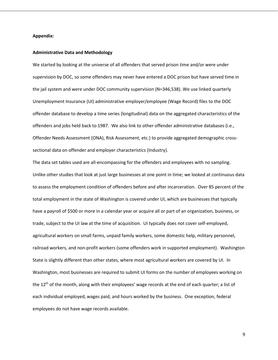#### **Appendix:**

#### **Administrative Data and Methodology**

We started by looking at the universe of all offenders that served prison time and/or were under supervision by DOC, so some offenders may never have entered a DOC prison but have served time in the jail system and were under DOC community supervision (N=346,538). We use linked quarterly Unemployment Insurance (UI) administrative employer/employee (Wage Record) files to the DOC offender database to develop a time series (longitudinal) data on the aggregated characteristics of the offenders and jobs held back to 1987. We also link to other offender administrative databases (i.e., Offender Needs Assessment (ONA), Risk Assessment, etc.) to provide aggregated demographic crosssectional data on offender and employer characteristics (Industry).

The data set tables used are all-encompassing for the offenders and employees with no sampling. Unlike other studies that look at just large businesses at one point in time; we looked at continuous data to assess the employment condition of offenders before and after incarceration. Over 85 percent of the total employment in the state of Washington is covered under UI, which are businesses that typically have a payroll of \$500 or more in a calendar year or acquire all or part of an organization, business, or trade, subject to the UI law at the time of acquisition. UI typically does not cover self-employed, agricultural workers on small farms, unpaid family workers, some domestic help, military personnel, railroad workers, and non-profit workers (some offenders work in supported employment). Washington State is slightly different than other states, where most agricultural workers are covered by UI. In Washington, most businesses are required to submit UI forms on the number of employees working on the  $12<sup>th</sup>$  of the month, along with their employees' wage records at the end of each quarter; a list of each individual employed, wages paid, and hours worked by the business. One exception, federal employees do not have wage records available.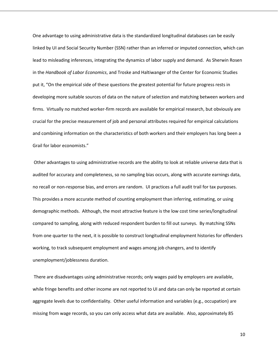One advantage to using administrative data is the standardized longitudinal databases can be easily linked by UI and Social Security Number (SSN) rather than an inferred or imputed connection, which can lead to misleading inferences, integrating the dynamics of labor supply and demand. As Sherwin Rosen in the *Handbook of Labor Economics*, and Troske and Haltiwanger of the Center for Economic Studies put it, "On the empirical side of these questions the greatest potential for future progress rests in developing more suitable sources of data on the nature of selection and matching between workers and firms. Virtually no matched worker-firm records are available for empirical research, but obviously are crucial for the precise measurement of job and personal attributes required for empirical calculations and combining information on the characteristics of both workers and their employers has long been a Grail for labor economists."

Other advantages to using administrative records are the ability to look at reliable universe data that is audited for accuracy and completeness, so no sampling bias occurs, along with accurate earnings data, no recall or non-response bias, and errors are random. UI practices a full audit trail for tax purposes. This provides a more accurate method of counting employment than inferring, estimating, or using demographic methods. Although, the most attractive feature is the low cost time series/longitudinal compared to sampling, along with reduced respondent burden to fill out surveys. By matching SSNs from one quarter to the next, it is possible to construct longitudinal employment histories for offenders working, to track subsequent employment and wages among job changers, and to identify unemployment/joblessness duration.

There are disadvantages using administrative records; only wages paid by employers are available, while fringe benefits and other income are not reported to UI and data can only be reported at certain aggregate levels due to confidentiality. Other useful information and variables (e.g., occupation) are missing from wage records, so you can only access what data are available. Also, approximately 85

10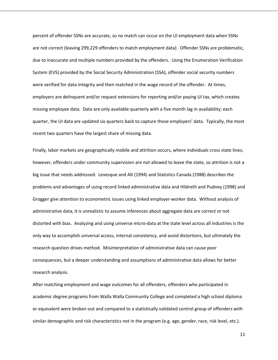percent of offender SSNs are accurate, so no match can occur on the UI employment data when SSNs are not correct (leaving 299,229 offenders to match employment data). Offender SSNs are problematic, due to inaccurate and multiple numbers provided by the offenders. Using the Enumeration Verification System (EVS) provided by the Social Security Administration (SSA), offender social security numbers were verified for data integrity and then matched in the wage record of the offender. At times, employers are delinquent and/or request extensions for reporting and/or paying UI tax, which creates missing employee data. Data are only available quarterly with a five month lag in availability; each quarter, the UI data are updated six quarters back to capture those employers' data. Typically, the most recent two quarters have the largest share of missing data.

Finally, labor markets are geographically mobile and attrition occurs, where individuals cross state lines; however, offenders under community supervision are not allowed to leave the state, so attrition is not a big issue that needs addressed. Levesque and Alt (1994) and Statistics Canada (1988) describes the problems and advantages of using record linked administrative data and Hildreth and Pudney (1998) and Grogger give attention to econometric issues using linked employer-worker data. Without analysis of administrative data, it is unrealistic to assume inferences about aggregate data are correct or not distorted with bias. Analyzing and using universe micro-data at the state level across all industries is the only way to accomplish universal access, internal consistency, and avoid distortions, but ultimately the research question drives method. Misinterpretation of administrative data can cause poor consequences, but a deeper understanding and assumptions of administrative data allows for better research analysis.

After matching employment and wage outcomes for all offenders, offenders who participated in academic degree programs from Walla Walla Community College and completed a high school diploma or equivalent were broken out and compared to a statistically validated control group of offenders with similar demographic and risk characteristics not in the program (e.g. age, gender, race, risk level, etc.).

11